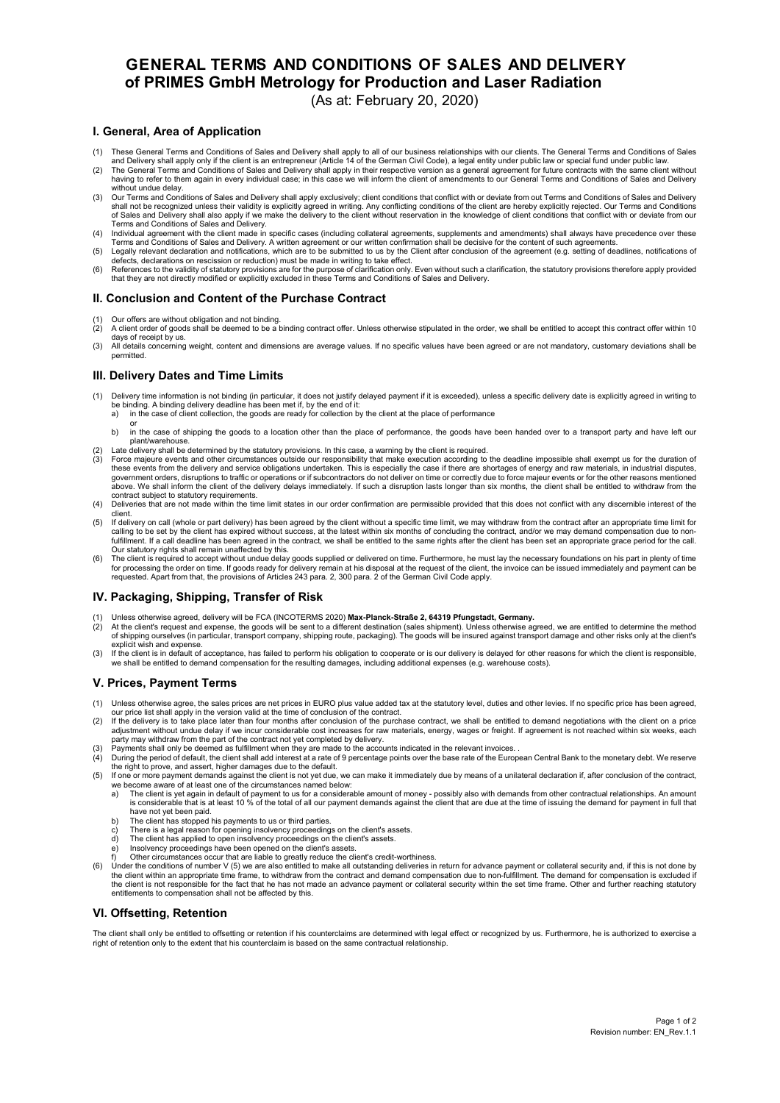# **GENERAL TERMS AND CONDITIONS OF SALES AND DELIVERY of PRIMES GmbH Metrology for Production and Laser Radiation**  (As at: February 20, 2020)

## **I. General, Area of Application**

- 
- 1) These General Terms and Conditions of Sales and Delivery shall apply to all of our business relationships with our clients. The General Terms and Conditions of Sales<br>and Delivery shall apply only if the client is an ent having to refer to them again in every individual case; in this case we will inform the client of amendments to our General Terms and Conditions of Sales and Delivery without undue delay.
- 3) Our Terms and Conditions of Sales and Delivery shall apply exclusively; client conditions that conflict with or deviate from out Terms and Conditions of Sales and Delivery<br>shall not be recognized unless their validity i
- 4) Individual agreement with the client made in specific cases (including collateral agreements, supplements and amendments) shall always have precedence over these<br>Terms and Conditions of Sales and Delivery. A written agr
- 5) Legally relevant declaration and notifications, which are to be submitted to us by the Client after conclusion of the agreement (e.g. setting of deadlines, notifications of<br>defects, declarations on rescission or reducti
- that they are not directly modified or explicitly excluded in these Terms and Conditions of Sales and Delivery.

### **II. Conclusion and Content of the Purchase Contract**

- 
- (1) Our offers are without obligation and not binding.<br>(2) A client order of goods shall be deemed to be a binding contract offer. Unless otherwise stipulated in the order, we shall be entitled to accept this contract offe days of receipt by us.
- (3) All details concerning weight, content and dimensions are average values. If no specific values have been agreed or are not mandatory, customary deviations shall be permitted.

### **III. Delivery Dates and Time Limits**

- 1) Delivery time information is not binding (in particular, it does not justify delayed payment if it is exceeded), unless a specific delivery date is explicitly agreed in writing to<br>be binding Abiding delivery deadline ha
	-
	- or b) in the case of shipping the goods to a location other than the place of performance, the goods have been handed over to a transport party and have left our plant/warehouse.
- (2) Late delivery shall be determined by the statutory provisions. In this case, a warning by the client is required.
- (3) Force majeure events and other circumstances outside our responsibility that make execution according to the deadline impossible shall exempt us for the duration of these events from the delivery and service obligations undertaken. This is especially the case if there are shortages of energy and raw materials, in industrial disputes, government orders, disruptions to traffic or operations or if subcontractors do not deliver on time or correctly due to force majeur events or for the other reasons mentioned above. We shall inform the client of the delivery delays immediately. If such a disruption lasts longer than six months, the client shall be entitled to withdraw from the contract subject to statutory requirements.
- (4) Deliveries that are not made within the time limit states in our order confirmation are permissible provided that this does not conflict with any discernible interest of the
- client.<br>(5) If delivery on call (whole or part delivery) has been agreed by the client without a specific time limit, we may withdraw from the contract after an appropriate time limit for calling to be set by the client has expired without success, at the latest within six months of concluding the contract, and/or we may demand compensation due to non-<br>fulfillment. If a call deadline has been agreed in the Our statutory rights shall remain unaffected by this.
- (6) The client is required to accept without undue delay goods supplied or delivered on time. Furthermore, he must lay the necessary foundations on his part in plenty of time for processing the order on time. If goods ready for delivery remain at his disposal at the request of the client, the invoice can be issued immediately and payment can be<br>requested. Apart from that, the provisions of Arti

#### **IV. Packaging, Shipping, Transfer of Risk**

- (1) Unless otherwise agreed, delivery will be FCA (INCOTERMS 2020) **Max-Planck-Straße 2, 64319 Pfungstadt, Germany.**
- At the client's request and expense, the goods will be sent to a different destination (sales shipment). Unless otherwise agreed, we are entitled to determine the method<br>of shipping ourselves (in particular, transport comp explicit wish and expense
- (3) If the client is in default of acceptance, has failed to perform his obligation to cooperate or is our delivery is delayed for other reasons for which the client is responsible, we shall be entitled to demand compensation for the resulting damages, including additional expenses (e.g. warehouse costs).

#### **V. Prices, Payment Terms**

- (1) Unless otherwise agree, the sales prices are net prices in EURO plus value added tax at the statutory level, duties and other levies. If no specific price has been agreed,
- our price list shall apply in the version valid at the time of conclusion of the contract.<br>(2) If the delivery is to take place later than four months after conclusion of the purchase contract, we shall be entitled to dema adjustment without undue delay if we incur considerable cost increases for raw materials, energy, wages or freight. If agreement is not reached within six weeks, each<br>party may withdraw from the part of the contract not ye
- 
- (3) Payments shall only be deemed as fulfillment when they are made to the accounts indicated in the relevant invoices. .<br>(4) During the period of default, the client shall add interest at a rate of 9 percentage points ove the right to prove, and assert, higher damages due to the default.<br>(5) If one or more payment demands against the client is not yet due, we can make it immediately due by means of a unilateral declaration if, after conclus
- we become aware of at least one of the circumstances named below<br>a) The client is yet again in default of payment to us for a consideral
- a) The client is yet again in default of payment to us for a considerable amount of money possibly also with demands from other contractual relationships. An amount is considerable that is at least 10 % of the total of a have not yet been paid.
- b) The client has stopped his payments to us or third parties.
- 
- c) There is a legal reason for opening insolvency proceedings on the client's assets. d) The client has applied to open insolvency proceedings on the client's assets.
- e) Insolvency proceedings have been opened on the client's assets. f) Other circumstances occur that are liable to greatly reduce the client's credit-worthiness.
- 6) Under the conditions of number V (5) we are also entitled to make all outstanding deliveries in return for advance payment or collateral security and, if this is not done by<br>the client within an appropriate time frame, the client is not responsible for the fact that he has not made an advance payment or collateral security within the set time frame. Other and further reaching statutory entitlements to compensation shall not be affected by this.

#### **VI. Offsetting, Retention**

The client shall only be entitled to offsetting or retention if his counterclaims are determined with legal effect or recognized by us. Furthermore, he is authorized to exercise a right of retention only to the extent that his counterclaim is based on the same contractual relationship.